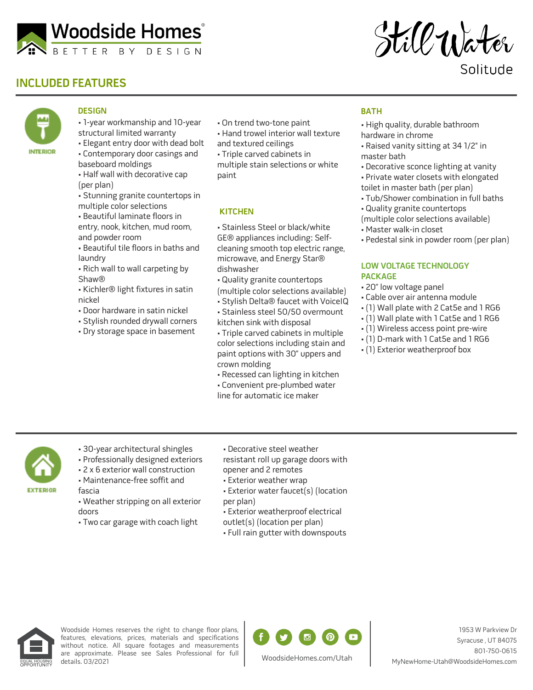

# **INCLUDED FEATURES**

still Water

Solitude

# **INTERIOR**

### **DESIGN**

- 1-year workmanship and 10-year structural limited warranty
- Elegant entry door with dead bolt • Contemporary door casings and
- baseboard moldings • Half wall with decorative cap
- (per plan)
- Stunning granite countertops in multiple color selections
- Beautiful laminate floors in entry, nook, kitchen, mud room, and powder room
- Beautiful tile floors in baths and laundry
- Rich wall to wall carpeting by Shaw®
- Kichler® light fixtures in satin nickel
- Door hardware in satin nickel
- Stylish rounded drywall corners
- Dry storage space in basement
- On trend two-tone paint
- Hand trowel interior wall texture
- and textured ceilings
- Triple carved cabinets in multiple stain selections or white paint

#### **KITCHEN**

- Stainless Steel or black/white GE® appliances including: Selfcleaning smooth top electric range, microwave, and Energy Star® dishwasher
- Quality granite countertops
- (multiple color selections available)
- Stylish Delta® faucet with VoiceIQ
- Stainless steel 50/50 overmount kitchen sink with disposal
- Triple carved cabinets in multiple color selections including stain and paint options with 30" uppers and crown molding
- Recessed can lighting in kitchen • Convenient pre-plumbed water line for automatic ice maker

## **BATH**

- High quality, durable bathroom hardware in chrome
- Raised vanity sitting at 34 1/2" in master bath
- Decorative sconce lighting at vanity
- Private water closets with elongated toilet in master bath (per plan)
- Tub/Shower combination in full baths
- Quality granite countertops

(multiple color selections available)

- Master walk-in closet
- Pedestal sink in powder room (per plan)

#### **LOW VOLTAGE TECHNOLOGY PACKAGE**

- 20" low voltage panel
- Cable over air antenna module
- (1) Wall plate with 2 Cat5e and 1 RG6
- (1) Wall plate with 1 Cat5e and 1 RG6
- (1) Wireless access point pre-wire
- (1) D-mark with 1 Cat5e and 1 RG6
- (1) Exterior weatherproof box

- **EXTERIOR**
- 30-year architectural shingles
- Professionally designed exteriors
- 2 x 6 exterior wall construction
- Maintenance-free soffit and fascia
- Weather stripping on all exterior doors
- Two car garage with coach light
- Decorative steel weather

resistant roll up garage doors with opener and 2 remotes

- Exterior weather wrap
- Exterior water faucet(s) (location per plan)
- Exterior weatherproof electrical
- outlet(s) (location per plan)
- Full rain gutter with downspouts



Woodside Homes reserves the right to change floor plans, features, elevations, prices, materials and specifications without notice. All square footages and measurements are approximate. Please see Sales Professional for full details. 03/2021



1953 W Parkview Dr Syracuse , UT 84075 801-750-0615 MyNewHome-Utah@WoodsideHomes.com